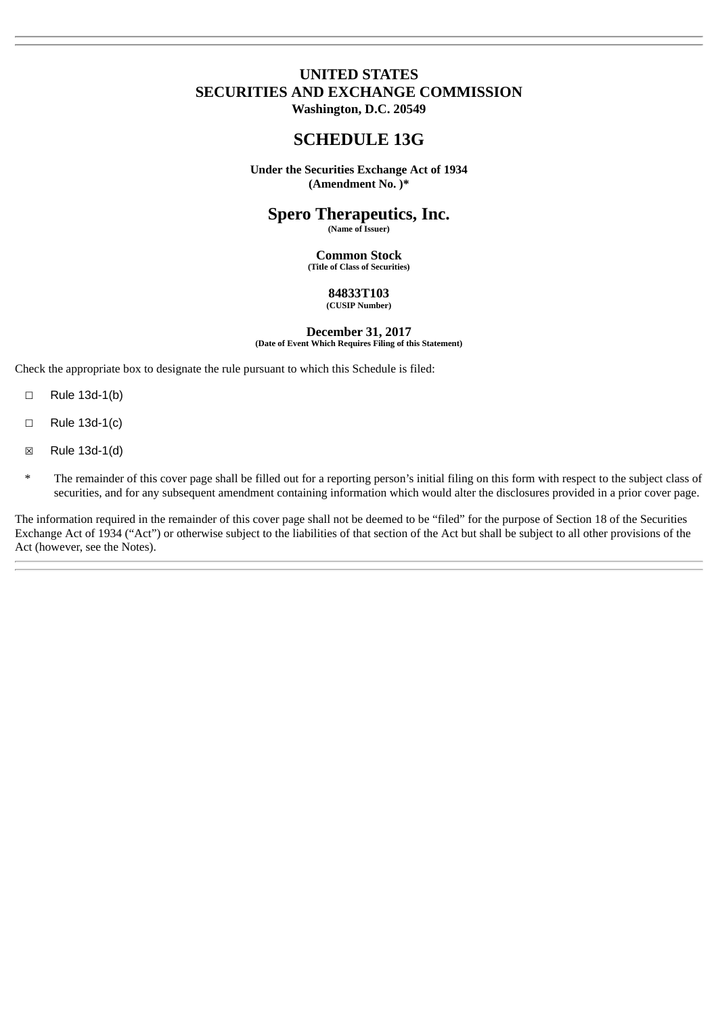# **UNITED STATES SECURITIES AND EXCHANGE COMMISSION Washington, D.C. 20549**

# **SCHEDULE 13G**

**Under the Securities Exchange Act of 1934 (Amendment No. )\***

# **Spero Therapeutics, Inc.**

**(Name of Issuer)**

**Common Stock (Title of Class of Securities)**

#### **84833T103 (CUSIP Number)**

**December 31, 2017 (Date of Event Which Requires Filing of this Statement)**

Check the appropriate box to designate the rule pursuant to which this Schedule is filed:

- ☐ Rule 13d-1(b)
- ☐ Rule 13d-1(c)
- ☒ Rule 13d-1(d)
- The remainder of this cover page shall be filled out for a reporting person's initial filing on this form with respect to the subject class of securities, and for any subsequent amendment containing information which would alter the disclosures provided in a prior cover page.

The information required in the remainder of this cover page shall not be deemed to be "filed" for the purpose of Section 18 of the Securities Exchange Act of 1934 ("Act") or otherwise subject to the liabilities of that section of the Act but shall be subject to all other provisions of the Act (however, see the Notes).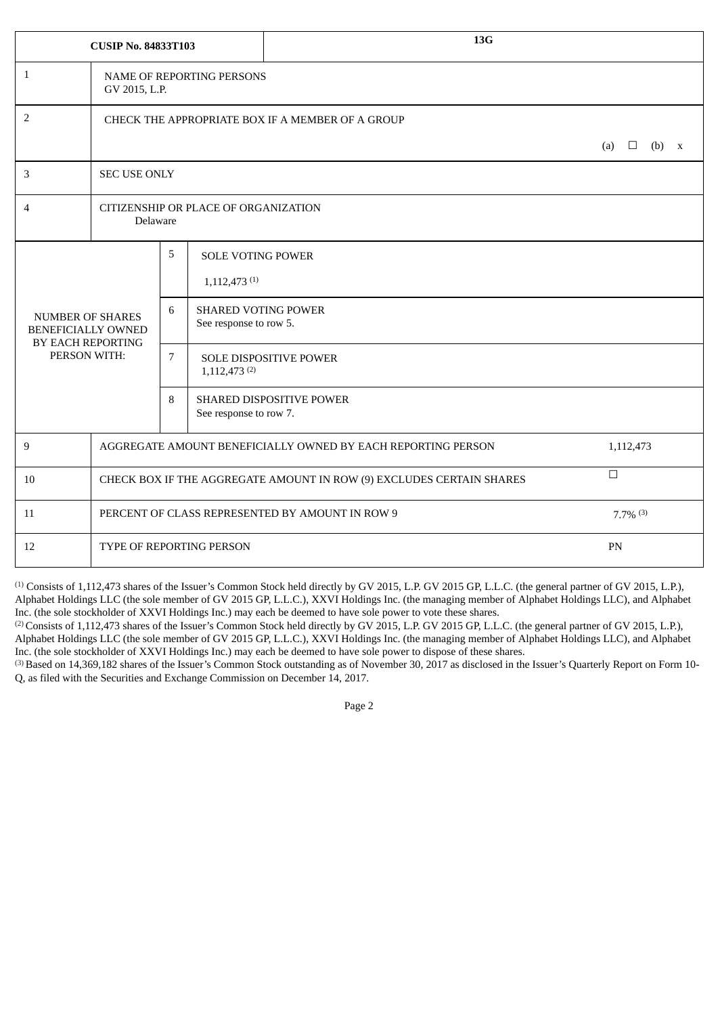|                                                      | <b>CUSIP No. 84833T103</b>                                                     |                                                  |                                                        | 13G                             |  |  |           |         |
|------------------------------------------------------|--------------------------------------------------------------------------------|--------------------------------------------------|--------------------------------------------------------|---------------------------------|--|--|-----------|---------|
| $\mathbf{1}$                                         | NAME OF REPORTING PERSONS<br>GV 2015, L.P.                                     |                                                  |                                                        |                                 |  |  |           |         |
| 2                                                    | CHECK THE APPROPRIATE BOX IF A MEMBER OF A GROUP                               |                                                  |                                                        |                                 |  |  |           |         |
|                                                      | (a)<br>$\Box$                                                                  |                                                  |                                                        |                                 |  |  |           | $(b)$ x |
| 3                                                    |                                                                                | <b>SEC USE ONLY</b>                              |                                                        |                                 |  |  |           |         |
| 4                                                    |                                                                                | CITIZENSHIP OR PLACE OF ORGANIZATION<br>Delaware |                                                        |                                 |  |  |           |         |
|                                                      |                                                                                | 5                                                | <b>SOLE VOTING POWER</b><br>$1,112,473$ <sup>(1)</sup> |                                 |  |  |           |         |
| <b>NUMBER OF SHARES</b><br><b>BENEFICIALLY OWNED</b> | BY EACH REPORTING                                                              | 6                                                | <b>SHARED VOTING POWER</b><br>See response to row 5.   |                                 |  |  |           |         |
| PERSON WITH:                                         |                                                                                | $\overline{7}$                                   | $1,112,473$ <sup>(2)</sup>                             | <b>SOLE DISPOSITIVE POWER</b>   |  |  |           |         |
|                                                      |                                                                                | 8                                                | See response to row 7.                                 | <b>SHARED DISPOSITIVE POWER</b> |  |  |           |         |
| 9                                                    | AGGREGATE AMOUNT BENEFICIALLY OWNED BY EACH REPORTING PERSON                   |                                                  |                                                        |                                 |  |  | 1,112,473 |         |
| 10                                                   | $\Box$<br>CHECK BOX IF THE AGGREGATE AMOUNT IN ROW (9) EXCLUDES CERTAIN SHARES |                                                  |                                                        |                                 |  |  |           |         |
| 11                                                   | PERCENT OF CLASS REPRESENTED BY AMOUNT IN ROW 9<br>$7.7\%$ (3)                 |                                                  |                                                        |                                 |  |  |           |         |
| 12                                                   | TYPE OF REPORTING PERSON<br>PN                                                 |                                                  |                                                        |                                 |  |  |           |         |

(2) Consists of 1,112,473 shares of the Issuer's Common Stock held directly by GV 2015, L.P. GV 2015 GP, L.L.C. (the general partner of GV 2015, L.P.), Alphabet Holdings LLC (the sole member of GV 2015 GP, L.L.C.), XXVI Holdings Inc. (the managing member of Alphabet Holdings LLC), and Alphabet Inc. (the sole stockholder of XXVI Holdings Inc.) may each be deemed to have sole power to dispose of these shares.

(3) Based on 14,369,182 shares of the Issuer's Common Stock outstanding as of November 30, 2017 as disclosed in the Issuer's Quarterly Report on Form 10- Q, as filed with the Securities and Exchange Commission on December 14, 2017.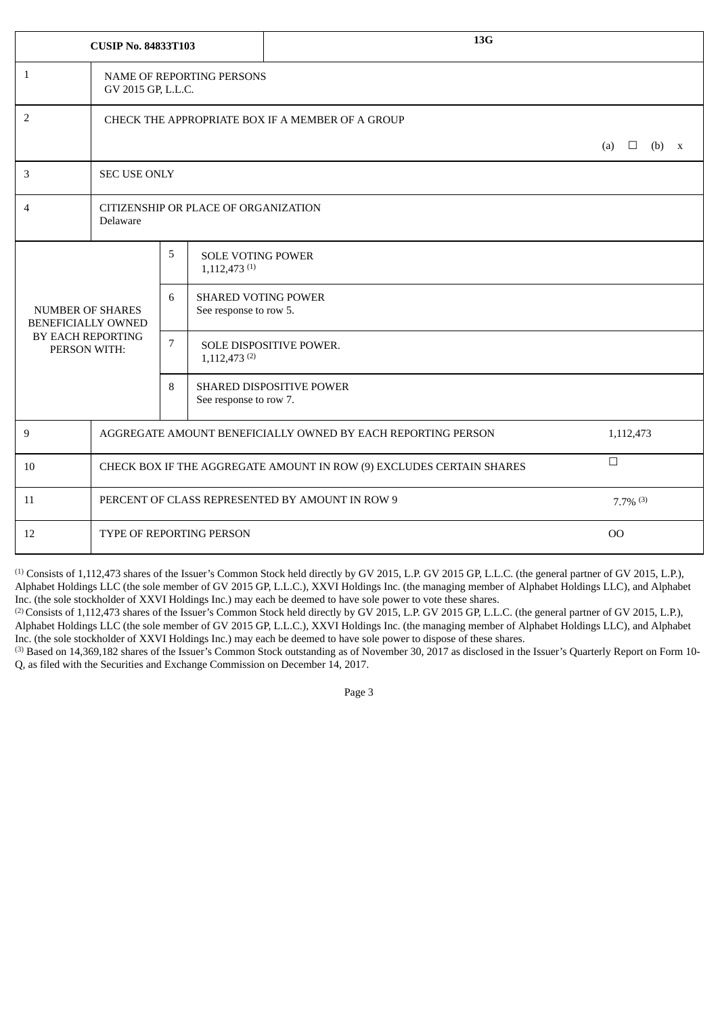|                                                      | <b>CUSIP No. 84833T103</b>                                                     |                                                                |                                                        | 13G                     |  |  |         |  |
|------------------------------------------------------|--------------------------------------------------------------------------------|----------------------------------------------------------------|--------------------------------------------------------|-------------------------|--|--|---------|--|
| $\mathbf{1}$                                         | GV 2015 GP, L.L.C.                                                             |                                                                | <b>NAME OF REPORTING PERSONS</b>                       |                         |  |  |         |  |
| 2                                                    | CHECK THE APPROPRIATE BOX IF A MEMBER OF A GROUP                               |                                                                |                                                        |                         |  |  |         |  |
|                                                      | (a)<br>$\Box$                                                                  |                                                                |                                                        |                         |  |  | $(b)$ x |  |
| 3                                                    | <b>SEC USE ONLY</b>                                                            |                                                                |                                                        |                         |  |  |         |  |
| 4                                                    | Delaware                                                                       | CITIZENSHIP OR PLACE OF ORGANIZATION                           |                                                        |                         |  |  |         |  |
|                                                      |                                                                                | 5                                                              | <b>SOLE VOTING POWER</b><br>$1,112,473$ <sup>(1)</sup> |                         |  |  |         |  |
| <b>NUMBER OF SHARES</b><br><b>BENEFICIALLY OWNED</b> |                                                                                | 6                                                              | <b>SHARED VOTING POWER</b><br>See response to row 5.   |                         |  |  |         |  |
| BY EACH REPORTING<br>PERSON WITH:                    |                                                                                | $\overline{7}$                                                 | $1,112,473$ <sup>(2)</sup>                             | SOLE DISPOSITIVE POWER. |  |  |         |  |
|                                                      |                                                                                | 8<br><b>SHARED DISPOSITIVE POWER</b><br>See response to row 7. |                                                        |                         |  |  |         |  |
| 9                                                    | AGGREGATE AMOUNT BENEFICIALLY OWNED BY EACH REPORTING PERSON<br>1,112,473      |                                                                |                                                        |                         |  |  |         |  |
| 10                                                   | $\Box$<br>CHECK BOX IF THE AGGREGATE AMOUNT IN ROW (9) EXCLUDES CERTAIN SHARES |                                                                |                                                        |                         |  |  |         |  |
| 11                                                   | PERCENT OF CLASS REPRESENTED BY AMOUNT IN ROW 9<br>$7.7\%$ <sup>(3)</sup>      |                                                                |                                                        |                         |  |  |         |  |
| 12                                                   | <b>OO</b><br><b>TYPE OF REPORTING PERSON</b>                                   |                                                                |                                                        |                         |  |  |         |  |

<sup>(2)</sup> Consists of 1,112,473 shares of the Issuer's Common Stock held directly by GV 2015, L.P. GV 2015 GP, L.L.C. (the general partner of GV 2015, L.P.), Alphabet Holdings LLC (the sole member of GV 2015 GP, L.L.C.), XXVI Holdings Inc. (the managing member of Alphabet Holdings LLC), and Alphabet Inc. (the sole stockholder of XXVI Holdings Inc.) may each be deemed to have sole power to dispose of these shares.

<sup>(3)</sup> Based on 14,369,182 shares of the Issuer's Common Stock outstanding as of November 30, 2017 as disclosed in the Issuer's Quarterly Report on Form 10-Q, as filed with the Securities and Exchange Commission on December 14, 2017.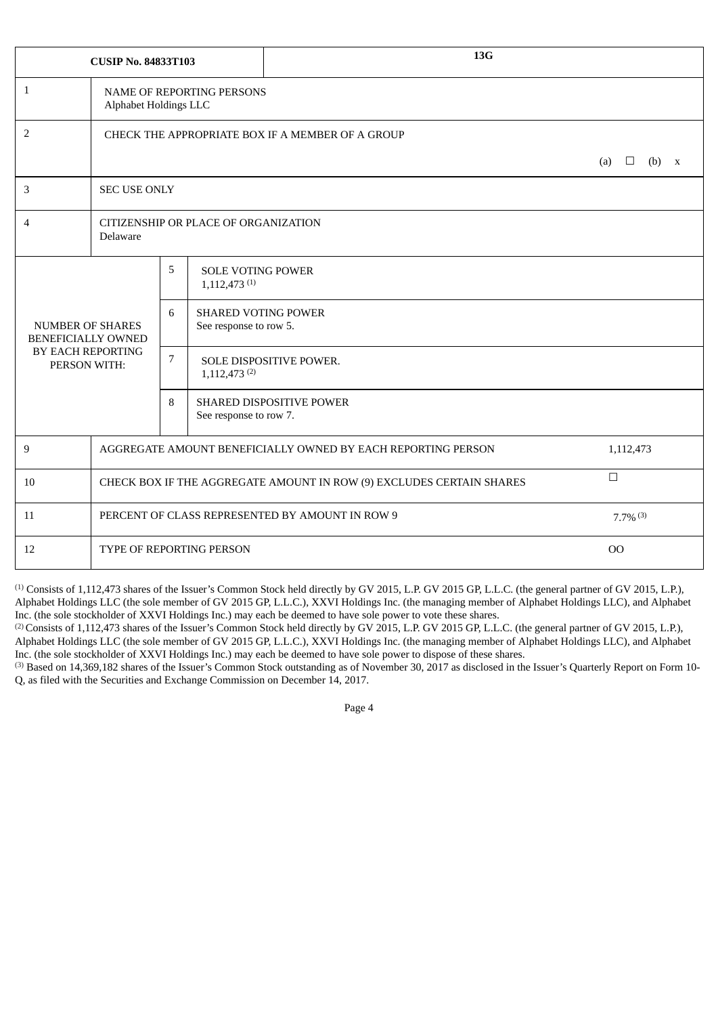|                                                      | <b>CUSIP No. 84833T103</b>                                                     |                                      |                                                        | 13G                                              |  |  |  |              |
|------------------------------------------------------|--------------------------------------------------------------------------------|--------------------------------------|--------------------------------------------------------|--------------------------------------------------|--|--|--|--------------|
| $\mathbf{1}$                                         | Alphabet Holdings LLC                                                          |                                      | <b>NAME OF REPORTING PERSONS</b>                       |                                                  |  |  |  |              |
| 2                                                    |                                                                                |                                      |                                                        | CHECK THE APPROPRIATE BOX IF A MEMBER OF A GROUP |  |  |  |              |
|                                                      | (a)                                                                            |                                      |                                                        |                                                  |  |  |  | $\mathbf{X}$ |
| 3                                                    | <b>SEC USE ONLY</b>                                                            |                                      |                                                        |                                                  |  |  |  |              |
| 4                                                    | Delaware                                                                       | CITIZENSHIP OR PLACE OF ORGANIZATION |                                                        |                                                  |  |  |  |              |
|                                                      |                                                                                | 5                                    | <b>SOLE VOTING POWER</b><br>$1,112,473$ <sup>(1)</sup> |                                                  |  |  |  |              |
| <b>NUMBER OF SHARES</b><br><b>BENEFICIALLY OWNED</b> |                                                                                | 6                                    | <b>SHARED VOTING POWER</b><br>See response to row 5.   |                                                  |  |  |  |              |
| BY EACH REPORTING<br>PERSON WITH:                    |                                                                                | $\overline{7}$                       | $1,112,473$ <sup>(2)</sup>                             | SOLE DISPOSITIVE POWER.                          |  |  |  |              |
|                                                      |                                                                                | 8                                    | See response to row 7.                                 | SHARED DISPOSITIVE POWER                         |  |  |  |              |
| 9                                                    | AGGREGATE AMOUNT BENEFICIALLY OWNED BY EACH REPORTING PERSON<br>1,112,473      |                                      |                                                        |                                                  |  |  |  |              |
| 10                                                   | $\Box$<br>CHECK BOX IF THE AGGREGATE AMOUNT IN ROW (9) EXCLUDES CERTAIN SHARES |                                      |                                                        |                                                  |  |  |  |              |
| 11                                                   | PERCENT OF CLASS REPRESENTED BY AMOUNT IN ROW 9<br>$7.7\%$ <sup>(3)</sup>      |                                      |                                                        |                                                  |  |  |  |              |
| 12                                                   | 00<br>TYPE OF REPORTING PERSON                                                 |                                      |                                                        |                                                  |  |  |  |              |

<sup>(2)</sup> Consists of 1,112,473 shares of the Issuer's Common Stock held directly by GV 2015, L.P. GV 2015 GP, L.L.C. (the general partner of GV 2015, L.P.), Alphabet Holdings LLC (the sole member of GV 2015 GP, L.L.C.), XXVI Holdings Inc. (the managing member of Alphabet Holdings LLC), and Alphabet Inc. (the sole stockholder of XXVI Holdings Inc.) may each be deemed to have sole power to dispose of these shares.

(3) Based on 14,369,182 shares of the Issuer's Common Stock outstanding as of November 30, 2017 as disclosed in the Issuer's Quarterly Report on Form 10- Q, as filed with the Securities and Exchange Commission on December 14, 2017.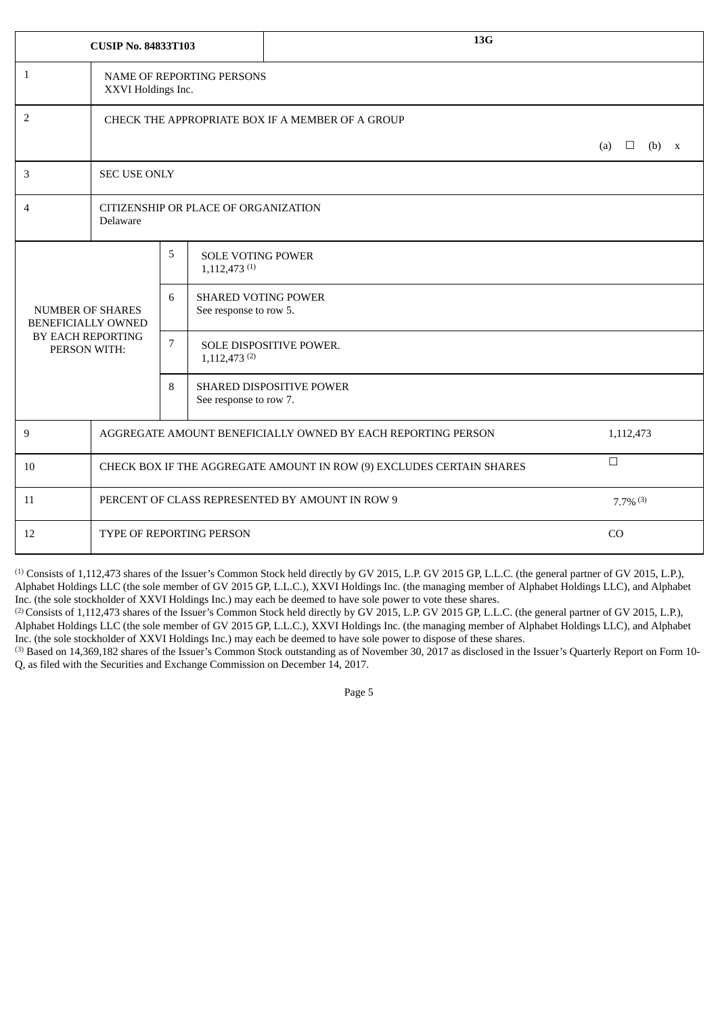|                                               | <b>CUSIP No. 84833T103</b>                                                     |                                                         |                                                        | 13G                     |  |  |  |  |
|-----------------------------------------------|--------------------------------------------------------------------------------|---------------------------------------------------------|--------------------------------------------------------|-------------------------|--|--|--|--|
| $\mathbf{1}$                                  | XXVI Holdings Inc.                                                             |                                                         | <b>NAME OF REPORTING PERSONS</b>                       |                         |  |  |  |  |
| $\overline{2}$                                | CHECK THE APPROPRIATE BOX IF A MEMBER OF A GROUP                               |                                                         |                                                        |                         |  |  |  |  |
|                                               |                                                                                | (b)<br>(a)<br>⊔<br>X                                    |                                                        |                         |  |  |  |  |
| 3                                             | <b>SEC USE ONLY</b>                                                            |                                                         |                                                        |                         |  |  |  |  |
| 4                                             | Delaware                                                                       | CITIZENSHIP OR PLACE OF ORGANIZATION                    |                                                        |                         |  |  |  |  |
|                                               |                                                                                | 5                                                       | <b>SOLE VOTING POWER</b><br>$1,112,473$ <sup>(1)</sup> |                         |  |  |  |  |
| <b>NUMBER OF SHARES</b><br>BENEFICIALLY OWNED |                                                                                | 6                                                       | <b>SHARED VOTING POWER</b><br>See response to row 5.   |                         |  |  |  |  |
| BY EACH REPORTING<br>PERSON WITH:             |                                                                                | $\overline{7}$                                          | $1,112,473$ <sup>(2)</sup>                             | SOLE DISPOSITIVE POWER. |  |  |  |  |
|                                               |                                                                                | 8<br>SHARED DISPOSITIVE POWER<br>See response to row 7. |                                                        |                         |  |  |  |  |
| 9                                             | AGGREGATE AMOUNT BENEFICIALLY OWNED BY EACH REPORTING PERSON<br>1,112,473      |                                                         |                                                        |                         |  |  |  |  |
| 10                                            | $\Box$<br>CHECK BOX IF THE AGGREGATE AMOUNT IN ROW (9) EXCLUDES CERTAIN SHARES |                                                         |                                                        |                         |  |  |  |  |
| 11                                            | PERCENT OF CLASS REPRESENTED BY AMOUNT IN ROW 9<br>$7.7\%$ <sup>(3)</sup>      |                                                         |                                                        |                         |  |  |  |  |
| 12                                            | CO<br><b>TYPE OF REPORTING PERSON</b>                                          |                                                         |                                                        |                         |  |  |  |  |

<sup>(2)</sup> Consists of 1,112,473 shares of the Issuer's Common Stock held directly by GV 2015, L.P. GV 2015 GP, L.L.C. (the general partner of GV 2015, L.P.), Alphabet Holdings LLC (the sole member of GV 2015 GP, L.L.C.), XXVI Holdings Inc. (the managing member of Alphabet Holdings LLC), and Alphabet Inc. (the sole stockholder of XXVI Holdings Inc.) may each be deemed to have sole power to dispose of these shares.

<sup>(3)</sup> Based on 14,369,182 shares of the Issuer's Common Stock outstanding as of November 30, 2017 as disclosed in the Issuer's Quarterly Report on Form 10-Q, as filed with the Securities and Exchange Commission on December 14, 2017.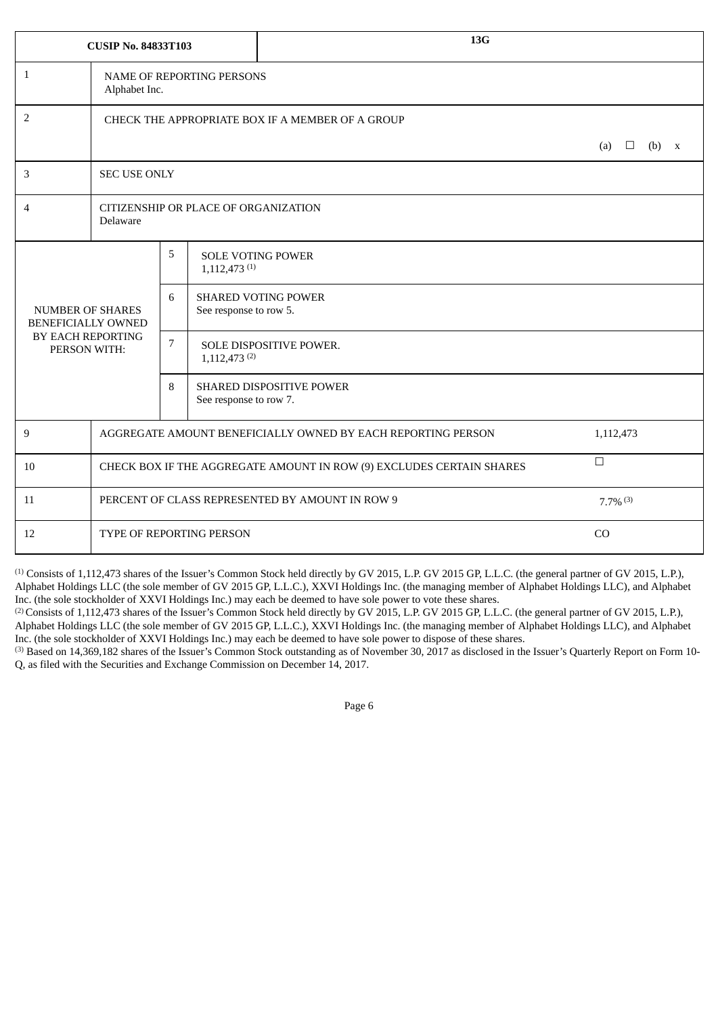|                                                      | <b>CUSIP No. 84833T103</b>                                                     |                     |                                      | 13G                        |  |  |  |  |
|------------------------------------------------------|--------------------------------------------------------------------------------|---------------------|--------------------------------------|----------------------------|--|--|--|--|
| $\mathbf{1}$                                         | Alphabet Inc.                                                                  |                     | <b>NAME OF REPORTING PERSONS</b>     |                            |  |  |  |  |
| 2                                                    | CHECK THE APPROPRIATE BOX IF A MEMBER OF A GROUP                               |                     |                                      |                            |  |  |  |  |
|                                                      | (b)<br>(a)<br>$\Box$<br>X                                                      |                     |                                      |                            |  |  |  |  |
| 3                                                    |                                                                                | <b>SEC USE ONLY</b> |                                      |                            |  |  |  |  |
| 4                                                    | Delaware                                                                       |                     | CITIZENSHIP OR PLACE OF ORGANIZATION |                            |  |  |  |  |
|                                                      |                                                                                | 5                   | $1,112,473$ <sup>(1)</sup>           | <b>SOLE VOTING POWER</b>   |  |  |  |  |
| <b>NUMBER OF SHARES</b><br><b>BENEFICIALLY OWNED</b> |                                                                                | 6                   | See response to row 5.               | <b>SHARED VOTING POWER</b> |  |  |  |  |
| BY EACH REPORTING<br>PERSON WITH:                    |                                                                                | $7\overline{ }$     | $1,112,473$ <sup>(2)</sup>           | SOLE DISPOSITIVE POWER.    |  |  |  |  |
|                                                      |                                                                                | 8                   | See response to row 7.               | SHARED DISPOSITIVE POWER   |  |  |  |  |
| 9                                                    | AGGREGATE AMOUNT BENEFICIALLY OWNED BY EACH REPORTING PERSON<br>1,112,473      |                     |                                      |                            |  |  |  |  |
| 10                                                   | $\Box$<br>CHECK BOX IF THE AGGREGATE AMOUNT IN ROW (9) EXCLUDES CERTAIN SHARES |                     |                                      |                            |  |  |  |  |
| 11                                                   | PERCENT OF CLASS REPRESENTED BY AMOUNT IN ROW 9<br>$7.7\%$ <sup>(3)</sup>      |                     |                                      |                            |  |  |  |  |
| 12                                                   | CO<br>TYPE OF REPORTING PERSON                                                 |                     |                                      |                            |  |  |  |  |

<sup>(2)</sup> Consists of 1,112,473 shares of the Issuer's Common Stock held directly by GV 2015, L.P. GV 2015 GP, L.L.C. (the general partner of GV 2015, L.P.), Alphabet Holdings LLC (the sole member of GV 2015 GP, L.L.C.), XXVI Holdings Inc. (the managing member of Alphabet Holdings LLC), and Alphabet Inc. (the sole stockholder of XXVI Holdings Inc.) may each be deemed to have sole power to dispose of these shares.

<sup>(3)</sup> Based on 14,369,182 shares of the Issuer's Common Stock outstanding as of November 30, 2017 as disclosed in the Issuer's Quarterly Report on Form 10-Q, as filed with the Securities and Exchange Commission on December 14, 2017.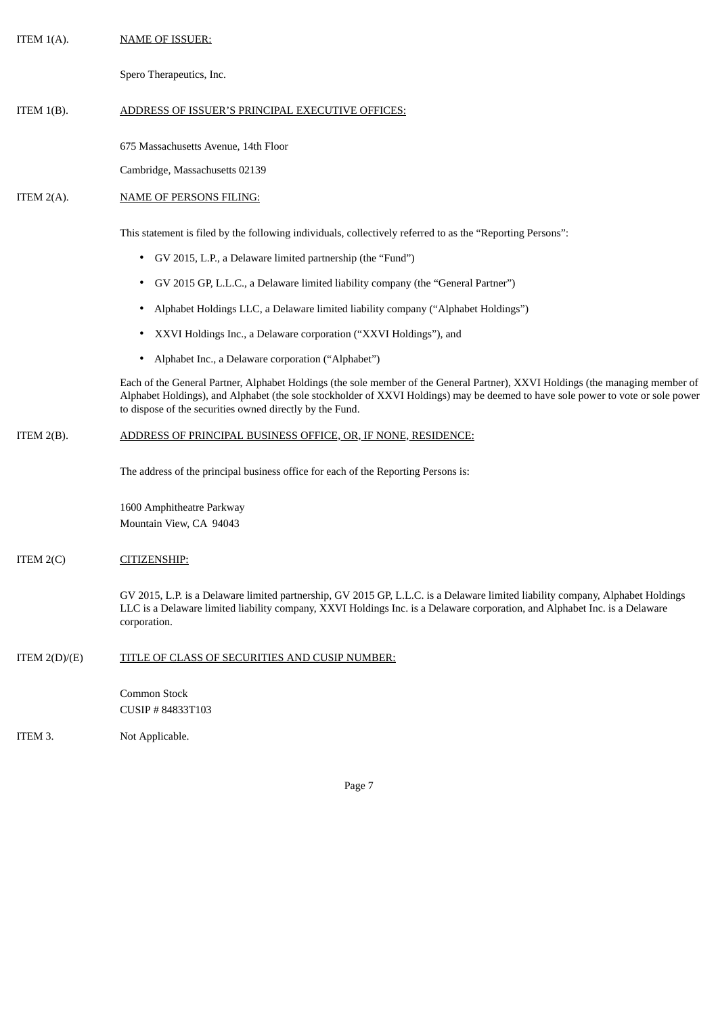| ITEM $1(A)$ .   | <b>NAME OF ISSUER:</b>                                                                                                                                                                                                                                                                                                        |
|-----------------|-------------------------------------------------------------------------------------------------------------------------------------------------------------------------------------------------------------------------------------------------------------------------------------------------------------------------------|
|                 | Spero Therapeutics, Inc.                                                                                                                                                                                                                                                                                                      |
| ITEM $1(B)$ .   | ADDRESS OF ISSUER'S PRINCIPAL EXECUTIVE OFFICES:                                                                                                                                                                                                                                                                              |
|                 | 675 Massachusetts Avenue, 14th Floor                                                                                                                                                                                                                                                                                          |
|                 | Cambridge, Massachusetts 02139                                                                                                                                                                                                                                                                                                |
| ITEM $2(A)$ .   | <b>NAME OF PERSONS FILING:</b>                                                                                                                                                                                                                                                                                                |
|                 | This statement is filed by the following individuals, collectively referred to as the "Reporting Persons":                                                                                                                                                                                                                    |
|                 | GV 2015, L.P., a Delaware limited partnership (the "Fund")<br>$\bullet$                                                                                                                                                                                                                                                       |
|                 | GV 2015 GP, L.L.C., a Delaware limited liability company (the "General Partner")<br>٠                                                                                                                                                                                                                                         |
|                 | Alphabet Holdings LLC, a Delaware limited liability company ("Alphabet Holdings")<br>٠                                                                                                                                                                                                                                        |
|                 | XXVI Holdings Inc., a Delaware corporation ("XXVI Holdings"), and<br>٠                                                                                                                                                                                                                                                        |
|                 | Alphabet Inc., a Delaware corporation ("Alphabet")<br>٠                                                                                                                                                                                                                                                                       |
|                 | Each of the General Partner, Alphabet Holdings (the sole member of the General Partner), XXVI Holdings (the managing member of<br>Alphabet Holdings), and Alphabet (the sole stockholder of XXVI Holdings) may be deemed to have sole power to vote or sole power<br>to dispose of the securities owned directly by the Fund. |
| ITEM $2(B)$ .   | ADDRESS OF PRINCIPAL BUSINESS OFFICE, OR, IF NONE, RESIDENCE:                                                                                                                                                                                                                                                                 |
|                 | The address of the principal business office for each of the Reporting Persons is:                                                                                                                                                                                                                                            |
|                 | 1600 Amphitheatre Parkway<br>Mountain View, CA 94043                                                                                                                                                                                                                                                                          |
| ITEM $2(C)$     | CITIZENSHIP:                                                                                                                                                                                                                                                                                                                  |
|                 | GV 2015, L.P. is a Delaware limited partnership, GV 2015 GP, L.L.C. is a Delaware limited liability company, Alphabet Holdings<br>LLC is a Delaware limited liability company, XXVI Holdings Inc. is a Delaware corporation, and Alphabet Inc. is a Delaware<br>corporation.                                                  |
| ITEM $2(D)/(E)$ | TITLE OF CLASS OF SECURITIES AND CUSIP NUMBER:                                                                                                                                                                                                                                                                                |
|                 | Common Stock<br>CUSIP #84833T103                                                                                                                                                                                                                                                                                              |

ITEM 3. Not Applicable.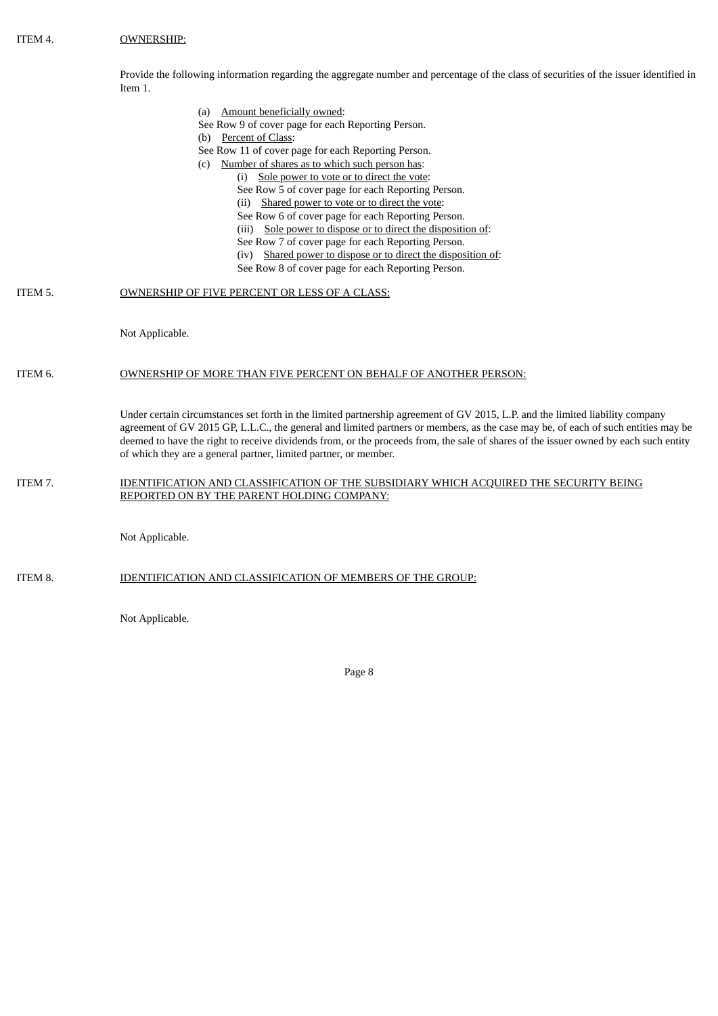Provide the following information regarding the aggregate number and percentage of the class of securities of the issuer identified in Item 1.

- (a) Amount beneficially owned:
- See Row 9 of cover page for each Reporting Person.
- (b) Percent of Class:
- See Row 11 of cover page for each Reporting Person.
- (c) Number of shares as to which such person has:
	- (i) Sole power to vote or to direct the vote:
		- See Row 5 of cover page for each Reporting Person.
		- (ii) Shared power to vote or to direct the vote:
		- See Row 6 of cover page for each Reporting Person.
		- (iii) Sole power to dispose or to direct the disposition of:
		- See Row 7 of cover page for each Reporting Person.
		- (iv) Shared power to dispose or to direct the disposition of:
		- See Row 8 of cover page for each Reporting Person.

## ITEM 5. OWNERSHIP OF FIVE PERCENT OR LESS OF A CLASS:

Not Applicable.

## ITEM 6. OWNERSHIP OF MORE THAN FIVE PERCENT ON BEHALF OF ANOTHER PERSON:

Under certain circumstances set forth in the limited partnership agreement of GV 2015, L.P. and the limited liability company agreement of GV 2015 GP, L.L.C., the general and limited partners or members, as the case may be, of each of such entities may be deemed to have the right to receive dividends from, or the proceeds from, the sale of shares of the issuer owned by each such entity of which they are a general partner, limited partner, or member.

## ITEM 7. IDENTIFICATION AND CLASSIFICATION OF THE SUBSIDIARY WHICH ACQUIRED THE SECURITY BEING REPORTED ON BY THE PARENT HOLDING COMPANY:

Not Applicable.

ITEM 8. IDENTIFICATION AND CLASSIFICATION OF MEMBERS OF THE GROUP:

Not Applicable.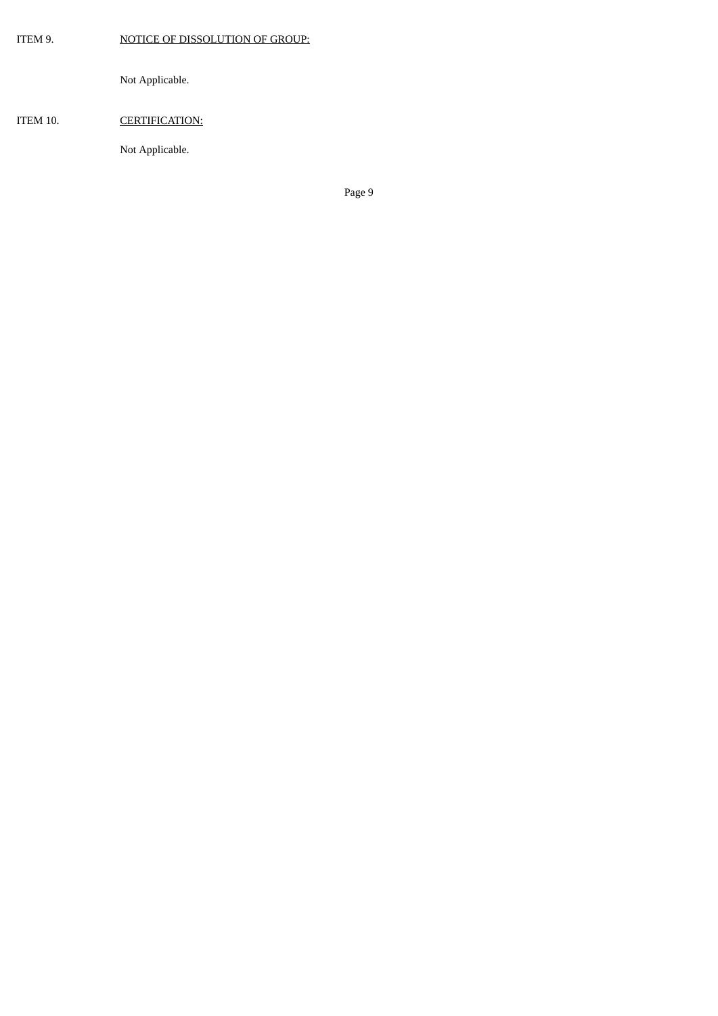ITEM 9. NOTICE OF DISSOLUTION OF GROUP:

Not Applicable.

# ITEM 10. CERTIFICATION:

Not Applicable.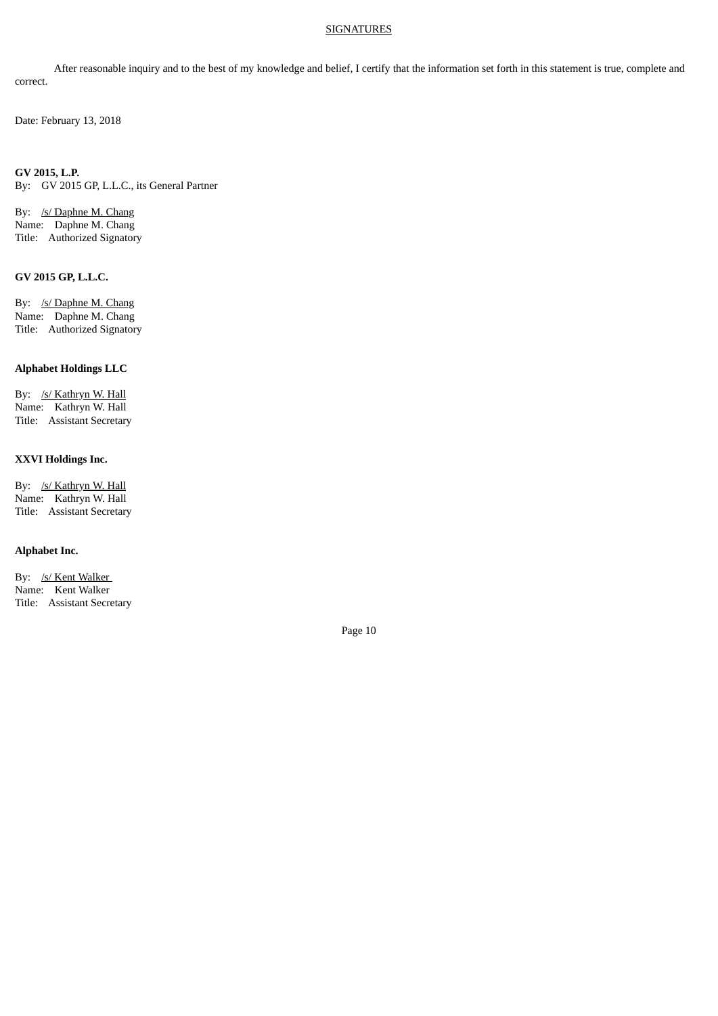## **SIGNATURES**

After reasonable inquiry and to the best of my knowledge and belief, I certify that the information set forth in this statement is true, complete and correct.

Date: February 13, 2018

**GV 2015, L.P.** By: GV 2015 GP, L.L.C., its General Partner

By: /s/ Daphne M. Chang Name: Daphne M. Chang Title: Authorized Signatory

### **GV 2015 GP, L.L.C.**

By: /s/ Daphne M. Chang Name: Daphne M. Chang Title: Authorized Signatory

# **Alphabet Holdings LLC**

By: /s/ Kathryn W. Hall Name: Kathryn W. Hall Title: Assistant Secretary

### **XXVI Holdings Inc.**

By: /s/ Kathryn W. Hall Name: Kathryn W. Hall Title: Assistant Secretary

# **Alphabet Inc.**

By: /s/ Kent Walker Name: Kent Walker Title: Assistant Secretary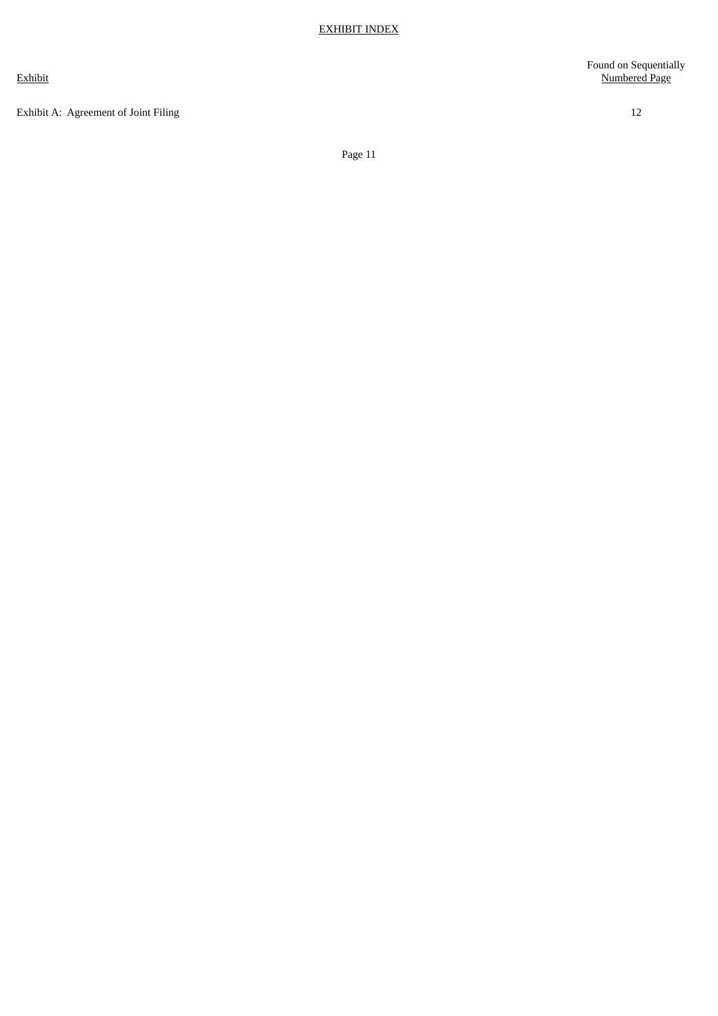Exhibit

Exhibit A: Agreement of Joint Filing [12](#page-11-0)